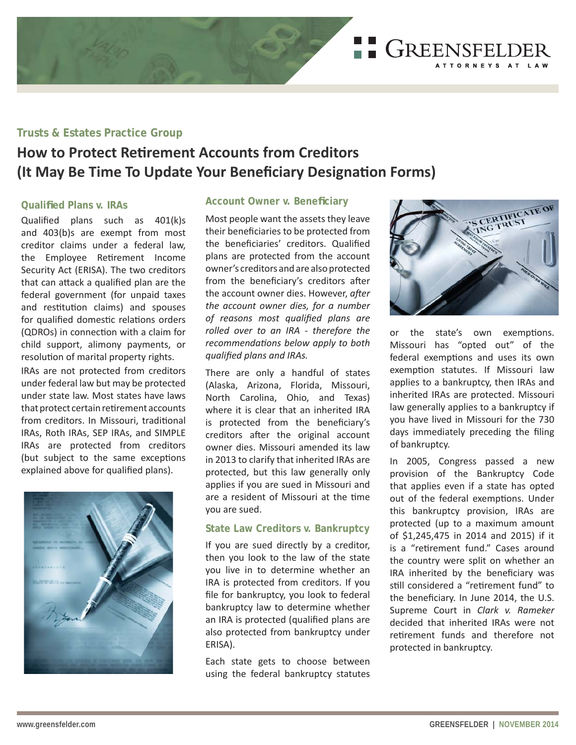GREENSFELDER ATTORNEYS AT LAW

# **Trusts & Estates Practice Group**

# **How to Protect Retirement Accounts from Creditors (It May Be Time To Update Your Beneficiary Designation Forms)**

## **Qualifi ed Plans v. IRAs**

Qualified plans such as  $401(k)s$ and 403(b)s are exempt from most creditor claims under a federal law, the Employee Retirement Income Security Act (ERISA). The two creditors that can attack a qualified plan are the federal government (for unpaid taxes and restitution claims) and spouses for qualified domestic relations orders (QDROs) in connection with a claim for child support, alimony payments, or resolution of marital property rights.

IRAs are not protected from creditors under federal law but may be protected under state law. Most states have laws that protect certain retirement accounts from creditors. In Missouri, traditional IRAs, Roth IRAs, SEP IRAs, and SIMPLE IRAs are protected from creditors (but subject to the same exceptions explained above for qualified plans).



## **Account Owner v. Beneficiary**

Most people want the assets they leave their beneficiaries to be protected from the beneficiaries' creditors. Qualified plans are protected from the account owner's creditors and are also protected from the beneficiary's creditors after the account owner dies. However, after *the account owner dies, for a number*   $of$  reasons most qualified plans are *rolled over to an IRA - therefore the recommendations below apply to both gualified plans and IRAs.* 

There are only a handful of states (Alaska, Arizona, Florida, Missouri, North Carolina, Ohio, and Texas) where it is clear that an inherited IRA is protected from the beneficiary's creditors after the original account owner dies. Missouri amended its law in 2013 to clarify that inherited IRAs are protected, but this law generally only applies if you are sued in Missouri and are a resident of Missouri at the time you are sued.

## **State Law Creditors v. Bankruptcy**

If you are sued directly by a creditor, then you look to the law of the state you live in to determine whether an IRA is protected from creditors. If you file for bankruptcy, you look to federal bankruptcy law to determine whether an IRA is protected (qualified plans are also protected from bankruptcy under ERISA).

Each state gets to choose between using the federal bankruptcy statutes



or the state's own exemptions. Missouri has "opted out" of the federal exemptions and uses its own exemption statutes. If Missouri law applies to a bankruptcy, then IRAs and inherited IRAs are protected. Missouri law generally applies to a bankruptcy if you have lived in Missouri for the 730 days immediately preceding the filing of bankruptcy.

In 2005, Congress passed a new provision of the Bankruptcy Code that applies even if a state has opted out of the federal exemptions. Under this bankruptcy provision, IRAs are protected (up to a maximum amount of \$1,245,475 in 2014 and 2015) if it is a "retirement fund." Cases around the country were split on whether an IRA inherited by the beneficiary was still considered a "retirement fund" to the beneficiary. In June 2014, the U.S. Supreme Court in *Clark v. Rameker* decided that inherited IRAs were not retirement funds and therefore not protected in bankruptcy.